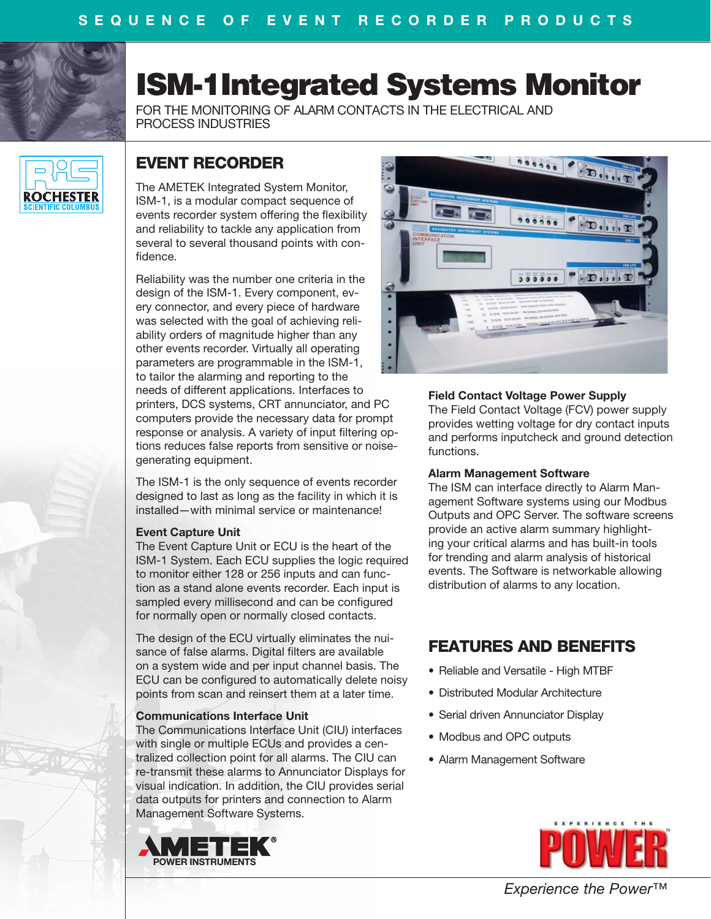

# **ISM-1Integrated Systems Monitor**

FOR THE MONITORING OF ALARM CONTACTS IN THE ELECTRICAL AND PROCESS INDUSTRIES



# **EVENT RECORDER**

The AMETEK Integrated System Monitor, ISM-1, is a modular compact sequence of events recorder system offering the flexibility and reliability to tackle any application from several to several thousand points with confidence.

Reliability was the number one criteria in the design of the ISM-1. Every component, every connector, and every piece of hardware was selected with the goal of achieving reliability orders of magnitude higher than any other events recorder. Virtually all operating parameters are programmable in the ISM-1, to tailor the alarming and reporting to the needs of different applications. Interfaces to

printers, DCS systems, CRT annunciator, and PC computers provide the necessary data for prompt response or analysis. A variety of input filtering options reduces false reports from sensitive or noisegenerating equipment.

The ISM-1 is the only sequence of events recorder designed to last as long as the facility in which it is installed—with minimal service or maintenance!

#### **Event Capture Unit**

The Event Capture Unit or ECU is the heart of the ISM-1 System. Each ECU supplies the logic required to monitor either 128 or 256 inputs and can function as a stand alone events recorder. Each input is sampled every millisecond and can be configured for normally open or normally closed contacts.

The design of the ECU virtually eliminates the nuisance of false alarms. Digital filters are available on a system wide and per input channel basis. The ECU can be configured to automatically delete noisy points from scan and reinsert them at a later time.

#### **Communications Interface Unit**

The Communications Interface Unit (CIU) interfaces with single or multiple ECUs and provides a centralized collection point for all alarms. The CIU can re-transmit these alarms to Annunciator Displays for visual indication. In addition, the CIU provides serial data outputs for printers and connection to Alarm Management Software Systems.





### **Field Contact Voltage Power Supply**

The Field Contact Voltage (FCV) power supply provides wetting voltage for dry contact inputs and performs inputcheck and ground detection functions.

#### **Alarm Management Software**

The ISM can interface directly to Alarm Management Software systems using our Modbus Outputs and OPC Server. The software screens provide an active alarm summary highlighting your critical alarms and has built-in tools for trending and alarm analysis of historical events. The Software is networkable allowing distribution of alarms to any location.

# **FEATURES AND BENEFITS**

- Reliable and Versatile High MTBF
- Distributed Modular Architecture
- Serial driven Annunciator Display
- Modbus and OPC outputs
- Alarm Management Software



*Experience the Power™*